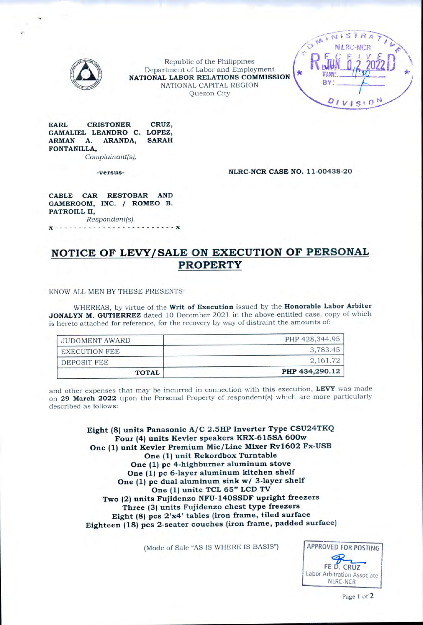

Republic of the Philippines Department of Labor and Employment **NATIONAL LABOR RELATIONS COMMISSION** NATIONAL CAPITAL REGION Quezon City



**EARL CRISTONER CRUZ, GAMALIEL LEANDRO C. LOPEZ,**  $ARMAN$  **A. FONTANILLA,**

*Complainant(s),*

**-versus-**

**NLRC-NCR CASE NO. 11-00438-20**

**CABLE CAR RESTOBAR AND GAMEROOM, INC. / ROMEO B. PATROILL II,** *Respondent(s).*

*X*.................................................................................................*<sup>X</sup>*

# **NOTICE OF LEVY/SALE ON EXECUTION OF PERSONAL PROPERTY**

KNOW ALL MEN BY THESE PRESENTS:

WHEREAS, by virtue of the **Writ of Execution** issued by the **Honorable Labor Arbiter JONALYN M. GUTIERREZ** dated 10 December 2021 in the above-entitled case, copy of which is hereto attached for reference, for the recovery by way of distraint the amounts of:

| JUDGMENT AWARD       | PHP 428,344.95 |  |  |
|----------------------|----------------|--|--|
| <b>EXECUTION FEE</b> | 3,783.45       |  |  |
| DEPOSIT FEE          | 2,161.72       |  |  |
| <b>TOTAL</b>         | PHP 434,290.12 |  |  |

and other expenses that may be incurred in connection with this execution, **LEVY** was made on **29 March 2022** upon the Personal Property of respondent(s) which are more particularly described as follows:

> **Eight (8) units Panasonic A/C 2.5HP Inverter Type CSU24TKQ Four (4) units Kevler speakers KRX-615SA 600w One (1) unit Kevler Premium Mic/Line Mixer Rvl602 Fx-USB One (1) unit Rekordbox Turntable One (1) pc 4-highburner aluminum stove One (1) pc 6-layer aluminum kitchen shelf One (1) pc dual aluminum sink w/ 3-layer shelf One (1) unite TCL 65" LCD TV Two (2) units Fujidenzo NFU- 140SSDF upright freezers Three (3) units Fujidenzo chest type freezers Eight (8) pcs 2'x4' tables (iron frame, tiled surface Eighteen (18) pcs 2-seater couches (iron frame, padded surface)**

> > (Mode of Sale "AS IS WHERE IS BASIS") **APPROVED FOR POSTING**

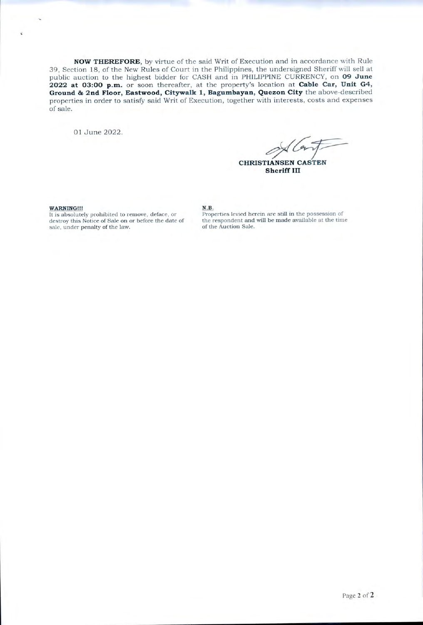NOW THEREFORE, by virtue of the said Writ of Execution and in accordance with Rule 39, Section 18, of the New Rules of Court in the Philippines, the undersigned Sheriff will sell at public auction to the highest bidder for CASH and in PHILIPPINE CURRENCY, on 09 June 2022 at 03:00 p.m. or soon thereafter, at the property's location at Cable Car, Unit G4, Ground & 2nd Floor, Eastwood, Citywalk 1, Bagumbayan, Quezon City the above-described properties in order to satisfy said Writ of Execution, together with interests, costs and expenses of sale.

01 June 2022.

**CHRISTIANSEN CASTEN Sheriff III** 

WARNING !!!

It is absolutely prohibited to remove, deface, or destroy this Notice of Sale on or before the date of sale, under penalty of the law.

N.B.

Properties levied herein are still in the possession of the respondent and will be made available at the time of the Auction Sale.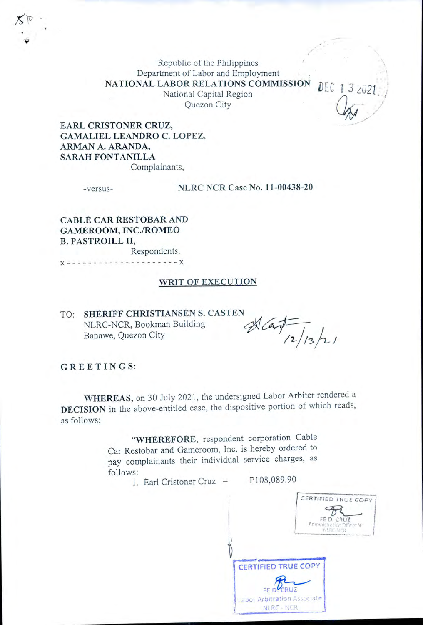Republic of the Philippines Department of Labor and Employment NATIONAL LABOR RELATIONS COMMISSION National Capital Region Quezon City

EARL CRISTONER CRUZ, GAMALIEL LEANDRO C. LOPEZ, ARMAN A. ARANDA, SARAH FONTANILLA Complainants,

-versus-

**NLRC NCR Case No. 11-00438-20** 

CABLE CAR RESTOBAR AND GAMEROOM, INC./ROMEO **B. PASTROILL II,** Respondents.

 $- - - - X$ 

## WRIT OF EXECUTION

TO: SHERIFF CHRISTIANSEN S. CASTEN NLRC-NCR, Bookman Building Banawe, Quezon City

 $\frac{d}{dz}$ 

DEC 13 2021

GREETINGS:

WHEREAS, on 30 July 2021, the undersigned Labor Arbiter rendered a DECISION in the above-entitled case, the dispositive portion of which reads, as follows:

> "WHEREFORE, respondent corporation Cable Car Restobar and Gameroom, Inc. is hereby ordered to pay complainants their individual service charges, as follows: P108,089.90

1. Earl Cristoner Cruz  $=$ 

CERTIFIED TRUE COPY FED. CRUZ **CERTIFIED TRUE COPY** Labor Arbitration Associate NLRC - NCR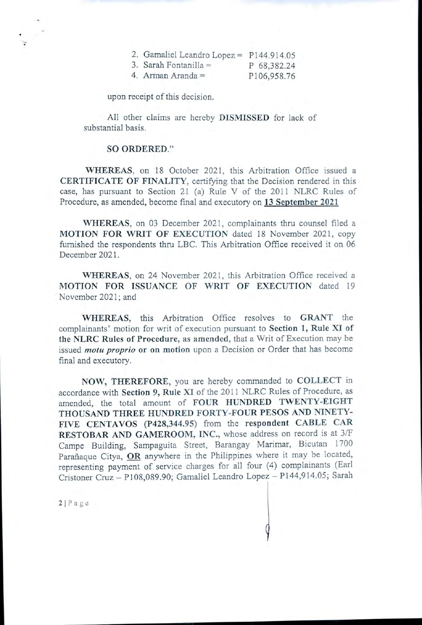| 2. Gamaliel Leandro Lopez = $\overline{r}$ |  | P144.914.05 |
|--------------------------------------------|--|-------------|
|                                            |  |             |

| 3. Sarah Fontanilla $=$ | P 68,382.24 |
|-------------------------|-------------|
|                         |             |

|  | 4. Arman Aranda $=$ |  | P106,958.76 |  |  |
|--|---------------------|--|-------------|--|--|
|  |                     |  |             |  |  |

upon receipt of this decision.

All other claims are hereby DISMISSED for lack of substantial basis.

### **SO ORDERED."**

WHEREAS, on 18 October 2021, this Arbitration Office issued a **CERTIFICATE OF FINALITY**, certifying that the Decision rendered in this case, has pursuant to Section 21 (a) Rule V of the 2011 NLRC Rules of Procedure, as amended, become final and executory on 13 September 2021

WHEREAS, on 03 December 2021, complainants thru counsel filed a MOTION FOR WRIT OF EXECUTION dated 18 November 2021, copy furnished the respondents thru LBC. This Arbitration Office received it on 06 December 2021.

WHEREAS, on 24 November 2021, this Arbitration Office received a MOTION FOR ISSUANCE OF WRIT OF EXECUTION dated 19 November 2021; and

WHEREAS, this Arbitration Office resolves to GRANT the complainants' motion for writ of execution pursuant to Section 1, Rule XI of the NLRC Rules of Procedure, as amended, that a Writ of Execution may be issued *motu proprio* or on motion upon a Decision or Order that has become final and executory.

NOW, THEREFORE, you are hereby commanded to COLLECT in accordance with Section 9, Rule XI of the 2011 NLRC Rules of Procedure, as amended, the total amount of FOUR HUNDRED TWENTY-EIGHT THOUSAND THREE HUNDRED FORTY-FOUR PESOS AND NINETY-FIVE CENTAVOS (P428,344.95) from the respondent CABLE CAR RESTOBAR AND GAMEROOM, INC., whose address on record is at 3/F Campe Building, Sampaguita Street, Barangay Marimar, Bicutan 1700 Parañaque Citya, OR anywhere in the Philippines where it may be located, representing payment of service charges for all four (4) complainants (Earl Cristoner Cruz - P108,089.90; Gamaliel Leandro Lopez - P144,914.05; Sarah

 $2|Page$